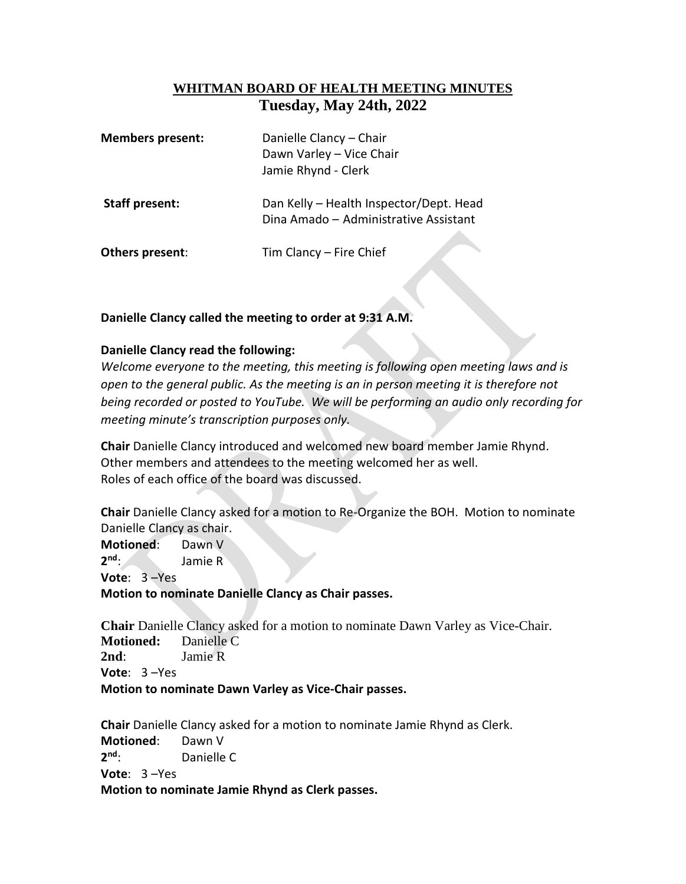## **WHITMAN BOARD OF HEALTH MEETING MINUTES Tuesday, May 24th, 2022**

| <b>Members present:</b> | Danielle Clancy - Chair<br>Dawn Varley - Vice Chair<br>Jamie Rhynd - Clerk       |
|-------------------------|----------------------------------------------------------------------------------|
| <b>Staff present:</b>   | Dan Kelly - Health Inspector/Dept. Head<br>Dina Amado - Administrative Assistant |
| Others present:         | Tim Clancy - Fire Chief                                                          |

## **Danielle Clancy called the meeting to order at 9:31 A.M.**

## **Danielle Clancy read the following:**

*Welcome everyone to the meeting, this meeting is following open meeting laws and is open to the general public. As the meeting is an in person meeting it is therefore not being recorded or posted to YouTube. We will be performing an audio only recording for meeting minute's transcription purposes only.* 

**Chair** Danielle Clancy introduced and welcomed new board member Jamie Rhynd. Other members and attendees to the meeting welcomed her as well. Roles of each office of the board was discussed.

**Chair** Danielle Clancy asked for a motion to Re-Organize the BOH. Motion to nominate Danielle Clancy as chair.

**Motioned**: Dawn V **2 nd**: Jamie R **Vote**: 3 –Yes **Motion to nominate Danielle Clancy as Chair passes.** 

**Chair** Danielle Clancy asked for a motion to nominate Dawn Varley as Vice-Chair. **Motioned:** Danielle C **2nd**: Jamie R **Vote**: 3 –Yes **Motion to nominate Dawn Varley as Vice-Chair passes.**

**Chair** Danielle Clancy asked for a motion to nominate Jamie Rhynd as Clerk. **Motioned**: Dawn V **2 Danielle C Vote**: 3 –Yes **Motion to nominate Jamie Rhynd as Clerk passes.**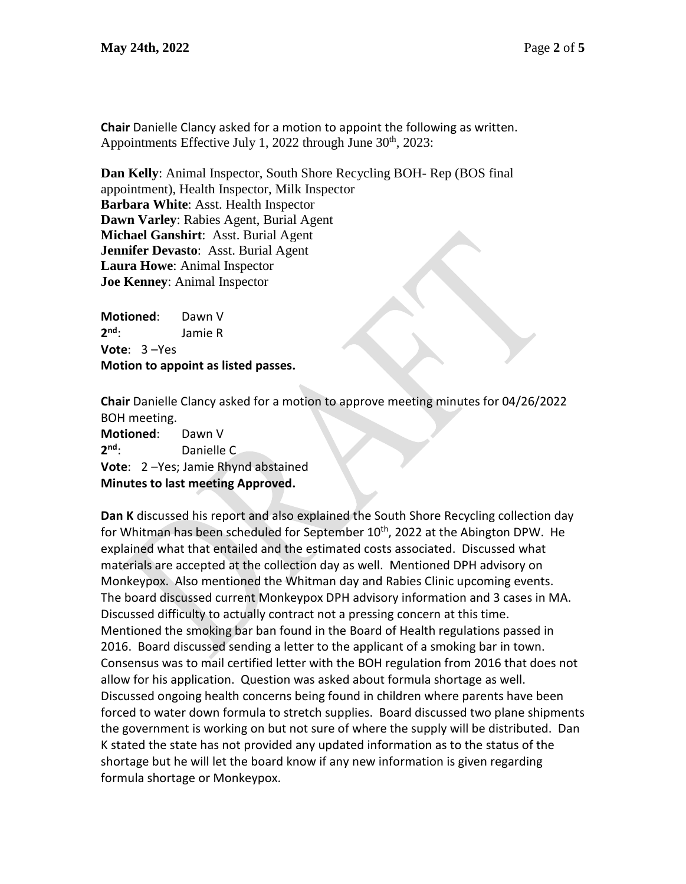**Chair** Danielle Clancy asked for a motion to appoint the following as written. Appointments Effective July 1, 2022 through June  $30<sup>th</sup>$ , 2023:

**Dan Kelly**: Animal Inspector, South Shore Recycling BOH- Rep (BOS final appointment), Health Inspector, Milk Inspector **Barbara White**: Asst. Health Inspector **Dawn Varley**: Rabies Agent, Burial Agent **Michael Ganshirt**: Asst. Burial Agent **Jennifer Devasto**: Asst. Burial Agent **Laura Howe**: Animal Inspector **Joe Kenney**: Animal Inspector

**Motioned**: Dawn V 2<sup>nd</sup>: **nd**: Jamie R **Vote**: 3 –Yes **Motion to appoint as listed passes.**

**Chair** Danielle Clancy asked for a motion to approve meeting minutes for 04/26/2022 BOH meeting.

**Motioned**: Dawn V 2<sup>nd</sup>: Danielle C **Vote**: 2 –Yes; Jamie Rhynd abstained **Minutes to last meeting Approved.**

**Dan K** discussed his report and also explained the South Shore Recycling collection day for Whitman has been scheduled for September 10<sup>th</sup>, 2022 at the Abington DPW. He explained what that entailed and the estimated costs associated. Discussed what materials are accepted at the collection day as well. Mentioned DPH advisory on Monkeypox. Also mentioned the Whitman day and Rabies Clinic upcoming events. The board discussed current Monkeypox DPH advisory information and 3 cases in MA. Discussed difficulty to actually contract not a pressing concern at this time. Mentioned the smoking bar ban found in the Board of Health regulations passed in 2016. Board discussed sending a letter to the applicant of a smoking bar in town. Consensus was to mail certified letter with the BOH regulation from 2016 that does not allow for his application. Question was asked about formula shortage as well. Discussed ongoing health concerns being found in children where parents have been forced to water down formula to stretch supplies. Board discussed two plane shipments the government is working on but not sure of where the supply will be distributed. Dan K stated the state has not provided any updated information as to the status of the shortage but he will let the board know if any new information is given regarding formula shortage or Monkeypox.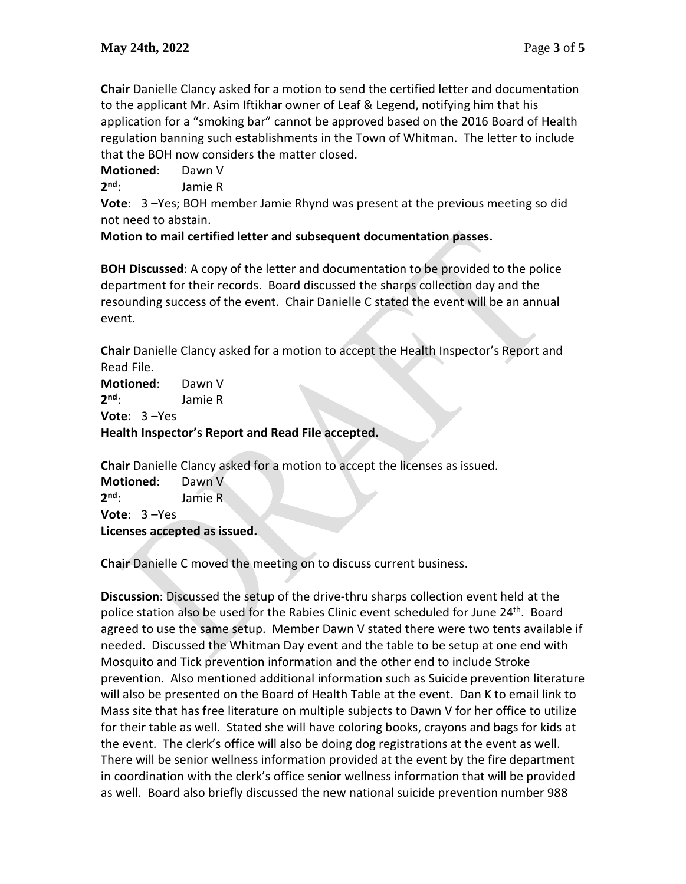**Chair** Danielle Clancy asked for a motion to send the certified letter and documentation to the applicant Mr. Asim Iftikhar owner of Leaf & Legend, notifying him that his application for a "smoking bar" cannot be approved based on the 2016 Board of Health regulation banning such establishments in the Town of Whitman. The letter to include that the BOH now considers the matter closed.

**Motioned**: Dawn V

 $2^{nd}$ **nd**: Jamie R

**Vote**: 3 –Yes; BOH member Jamie Rhynd was present at the previous meeting so did not need to abstain.

**Motion to mail certified letter and subsequent documentation passes.**

**BOH Discussed**: A copy of the letter and documentation to be provided to the police department for their records. Board discussed the sharps collection day and the resounding success of the event. Chair Danielle C stated the event will be an annual event.

**Chair** Danielle Clancy asked for a motion to accept the Health Inspector's Report and Read File.

**Motioned**: Dawn V **2 nd**: Jamie R **Vote**: 3 –Yes

**Health Inspector's Report and Read File accepted.**

**Chair** Danielle Clancy asked for a motion to accept the licenses as issued.

**Motioned**: Dawn V 2<sup>nd</sup>: **nd**: Jamie R **Vote**: 3 –Yes **Licenses accepted as issued.** 

**Chair** Danielle C moved the meeting on to discuss current business.

**Discussion**: Discussed the setup of the drive-thru sharps collection event held at the police station also be used for the Rabies Clinic event scheduled for June 24<sup>th</sup>. Board agreed to use the same setup. Member Dawn V stated there were two tents available if needed. Discussed the Whitman Day event and the table to be setup at one end with Mosquito and Tick prevention information and the other end to include Stroke prevention. Also mentioned additional information such as Suicide prevention literature will also be presented on the Board of Health Table at the event. Dan K to email link to Mass site that has free literature on multiple subjects to Dawn V for her office to utilize for their table as well. Stated she will have coloring books, crayons and bags for kids at the event. The clerk's office will also be doing dog registrations at the event as well. There will be senior wellness information provided at the event by the fire department in coordination with the clerk's office senior wellness information that will be provided as well. Board also briefly discussed the new national suicide prevention number 988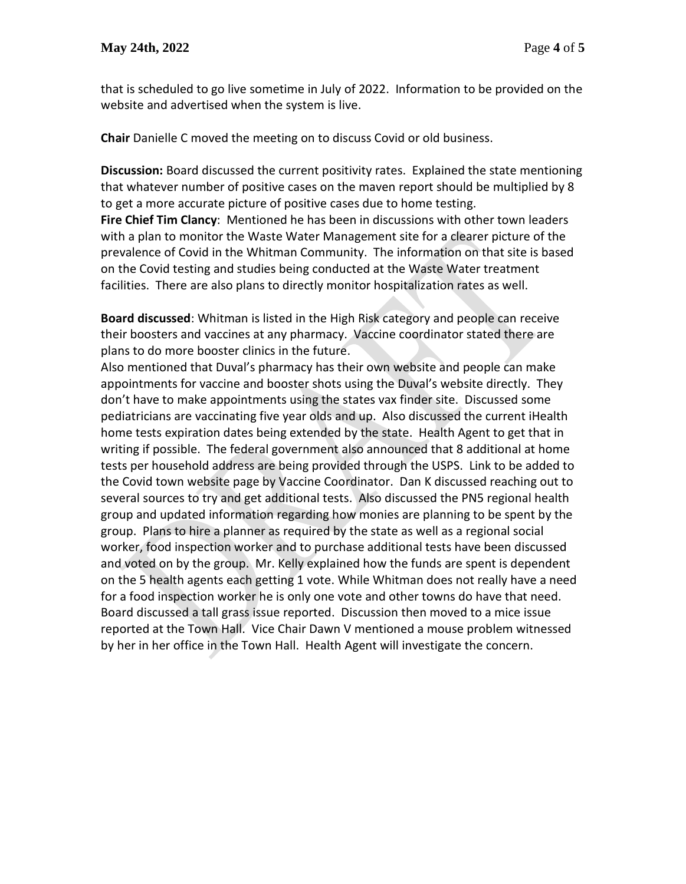that is scheduled to go live sometime in July of 2022. Information to be provided on the website and advertised when the system is live.

**Chair** Danielle C moved the meeting on to discuss Covid or old business.

**Discussion:** Board discussed the current positivity rates. Explained the state mentioning that whatever number of positive cases on the maven report should be multiplied by 8 to get a more accurate picture of positive cases due to home testing.

**Fire Chief Tim Clancy**: Mentioned he has been in discussions with other town leaders with a plan to monitor the Waste Water Management site for a clearer picture of the prevalence of Covid in the Whitman Community. The information on that site is based on the Covid testing and studies being conducted at the Waste Water treatment facilities. There are also plans to directly monitor hospitalization rates as well.

**Board discussed**: Whitman is listed in the High Risk category and people can receive their boosters and vaccines at any pharmacy. Vaccine coordinator stated there are plans to do more booster clinics in the future.

Also mentioned that Duval's pharmacy has their own website and people can make appointments for vaccine and booster shots using the Duval's website directly. They don't have to make appointments using the states vax finder site. Discussed some pediatricians are vaccinating five year olds and up. Also discussed the current iHealth home tests expiration dates being extended by the state. Health Agent to get that in writing if possible. The federal government also announced that 8 additional at home tests per household address are being provided through the USPS. Link to be added to the Covid town website page by Vaccine Coordinator. Dan K discussed reaching out to several sources to try and get additional tests. Also discussed the PN5 regional health group and updated information regarding how monies are planning to be spent by the group. Plans to hire a planner as required by the state as well as a regional social worker, food inspection worker and to purchase additional tests have been discussed and voted on by the group. Mr. Kelly explained how the funds are spent is dependent on the 5 health agents each getting 1 vote. While Whitman does not really have a need for a food inspection worker he is only one vote and other towns do have that need. Board discussed a tall grass issue reported. Discussion then moved to a mice issue reported at the Town Hall. Vice Chair Dawn V mentioned a mouse problem witnessed by her in her office in the Town Hall. Health Agent will investigate the concern.